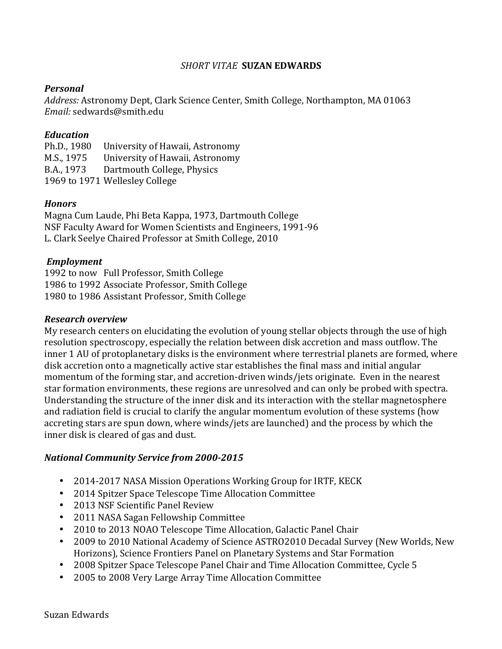# **SHORT VITAE SUZAN EDWARDS**

# *Personal*

Address: Astronomy Dept, Clark Science Center, Smith College, Northampton, MA 01063 *Email:* sedwards@smith.edu

## *Education*

Ph.D., 1980 University of Hawaii, Astronomy M.S., 1975 University of Hawaii, Astronomy B.A., 1973 Dartmouth College, Physics 1969 to 1971 Wellesley College

## *Honors*

Magna Cum Laude, Phi Beta Kappa, 1973, Dartmouth College NSF Faculty Award for Women Scientists and Engineers, 1991-96 L. Clark Seelye Chaired Professor at Smith College, 2010

## *Employment*

1992 to now Full Professor, Smith College 1986 to 1992 Associate Professor, Smith College 1980 to 1986 Assistant Professor, Smith College

#### *Research overview*

My research centers on elucidating the evolution of young stellar objects through the use of high resolution spectroscopy, especially the relation between disk accretion and mass outflow. The inner 1 AU of protoplanetary disks is the environment where terrestrial planets are formed, where disk accretion onto a magnetically active star establishes the final mass and initial angular momentum of the forming star, and accretion-driven winds/jets originate. Even in the nearest star formation environments, these regions are unresolved and can only be probed with spectra. Understanding the structure of the inner disk and its interaction with the stellar magnetosphere and radiation field is crucial to clarify the angular momentum evolution of these systems (how accreting stars are spun down, where winds/jets are launched) and the process by which the inner disk is cleared of gas and dust.

#### *National Community Service from 2000-2015*

- 2014-2017 NASA Mission Operations Working Group for IRTF, KECK
- 2014 Spitzer Space Telescope Time Allocation Committee
- 2013 NSF Scientific Panel Review
- 2011 NASA Sagan Fellowship Committee
- 2010 to 2013 NOAO Telescope Time Allocation, Galactic Panel Chair
- 2009 to 2010 National Academy of Science ASTRO2010 Decadal Survey (New Worlds, New Horizons), Science Frontiers Panel on Planetary Systems and Star Formation
- 2008 Spitzer Space Telescope Panel Chair and Time Allocation Committee, Cycle 5
- 2005 to 2008 Very Large Array Time Allocation Committee